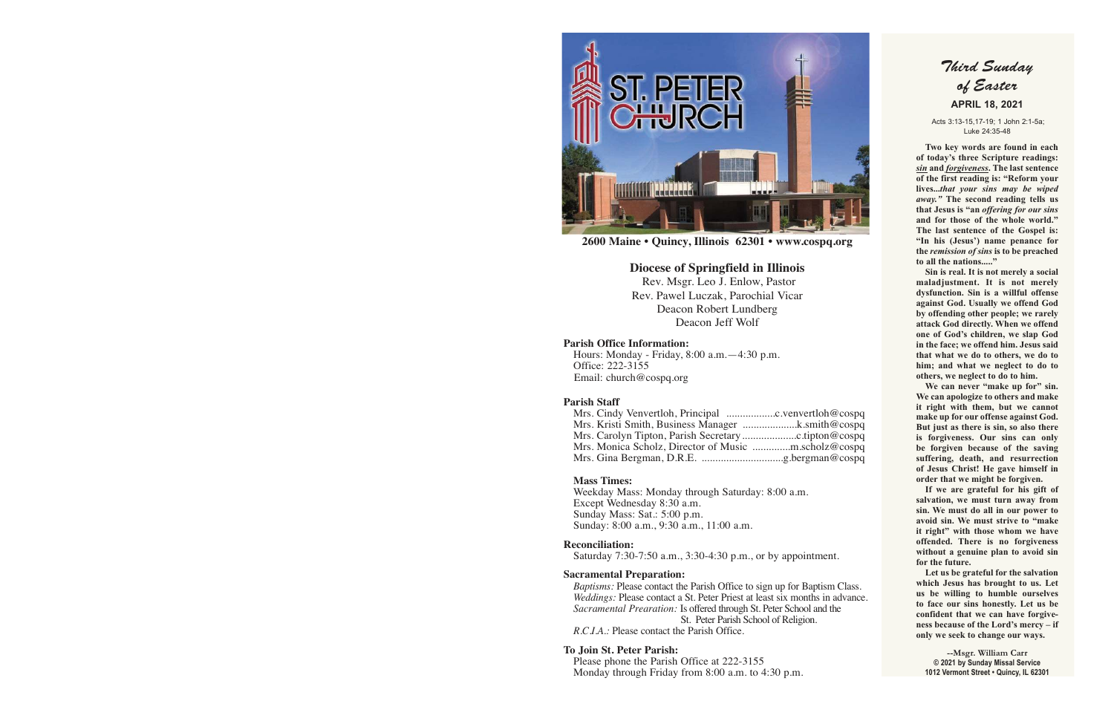

**2600 Maine • Quincy, Illinois 62301 • www.cospq.org**

## **Diocese of Springfield in Illinois**

 Rev. Msgr. Leo J. Enlow, Pastor Rev. Pawel Luczak, Parochial Vicar Deacon Robert Lundberg Deacon Jeff Wolf

## **Parish Office Information:**

Hours: Monday - Friday, 8:00 a.m.—4:30 p.m. Office: 222-3155 Email: church@cospq.org

## **Parish Staff**

| Mrs. Kristi Smith, Business Manager k.smith@cospq |  |
|---------------------------------------------------|--|
|                                                   |  |
|                                                   |  |
|                                                   |  |

## **Mass Times:**

Weekday Mass: Monday through Saturday: 8:00 a.m. Except Wednesday 8:30 a.m. Sunday Mass: Sat.: 5:00 p.m. Sunday: 8:00 a.m., 9:30 a.m., 11:00 a.m.

## **Reconciliation:**

Saturday 7:30-7:50 a.m., 3:30-4:30 p.m., or by appointment.

## **Sacramental Preparation:**

*Baptisms:* Please contact the Parish Office to sign up for Baptism Class. *Weddings:* Please contact a St. Peter Priest at least six months in advance. *Sacramental Prearation:* Is offered through St. Peter School and the St. Peter Parish School of Religion. *R.C.I.A.:* Please contact the Parish Office.

## **To Join St. Peter Parish:**

Please phone the Parish Office at 222-3155 Monday through Friday from 8:00 a.m. to 4:30 p.m.

# Third Sunday of Easter  **APRIL 18, 2021**

 Acts 3:13-15,17-19; 1 John 2:1-5a; Luke 24:35-48

 **Two key words are found in each of today's three Scripture readings:**  *sin* **and** *forgiveness***. The last sentence of the first reading is: "Reform your lives...***that your sins may be wiped away."* **The second reading tells us that Jesus is "an** *offering for our sins* **and for those of the whole world." The last sentence of the Gospel is: "In his (Jesus') name penance for the** *remission of sins* **is to be preached to all the nations....."** 

 **Sin is real. It is not merely a social maladjustment. It is not merely dysfunction. Sin is a willful offense against God. Usually we offend God by offending other people; we rarely attack God directly. When we offend one of God's children, we slap God in the face; we offend him. Jesus said that what we do to others, we do to him; and what we neglect to do to others, we neglect to do to him.** 

 **We can never "make up for" sin. We can apologize to others and make it right with them, but we cannot make up for our offense against God. But just as there is sin, so also there is forgiveness. Our sins can only be forgiven because of the saving suffering, death, and resurrection of Jesus Christ! He gave himself in order that we might be forgiven.** 

 **If we are grateful for his gift of salvation, we must turn away from sin. We must do all in our power to avoid sin. We must strive to "make it right" with those whom we have offended. There is no forgiveness without a genuine plan to avoid sin for the future.** 

 **Let us be grateful for the salvation which Jesus has brought to us. Let us be willing to humble ourselves to face our sins honestly. Let us be confident that we can have forgiveness because of the Lord's mercy – if only we seek to change our ways.** 

**--Msgr. William Carr © 2021 by Sunday Missal Service 1012 Vermont Street • Quincy, IL 62301**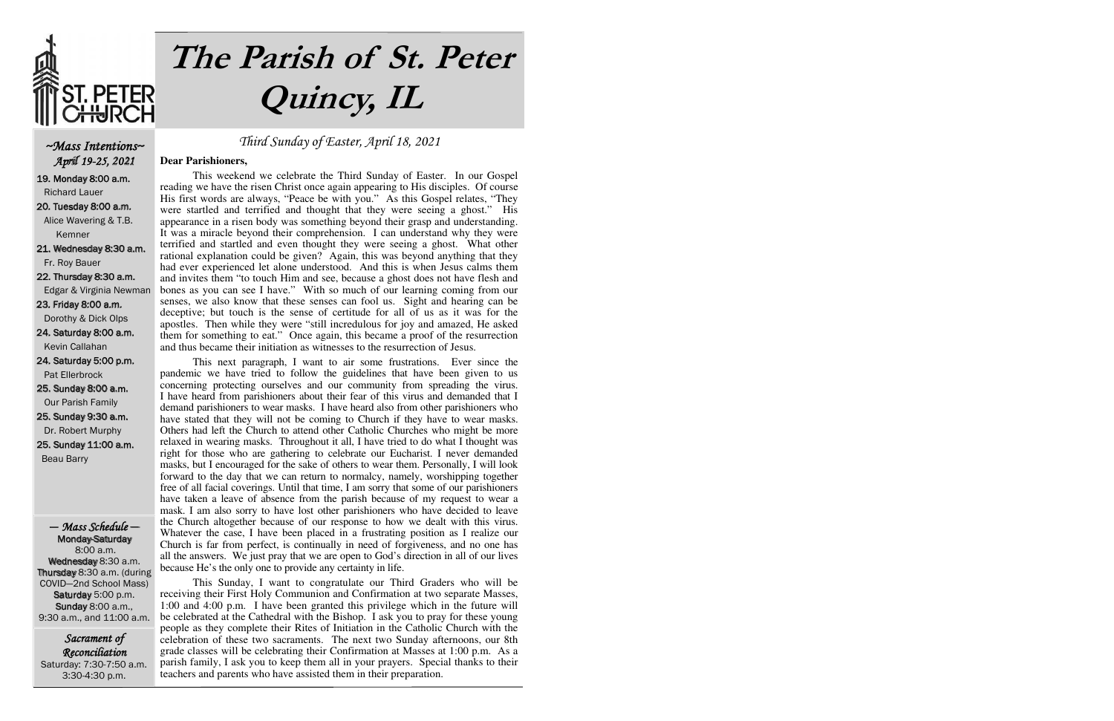

# **The Parish of St. Peter Quincy, IL**

## ~Mass Intentions~ April 19-25, 2021

19. Monday 8:00 a.m. Richard Lauer

20. Tuesday 8:00 a.m. Alice Wavering & T.B. Kemner

21. Wednesday 8:30 a.m. Fr. Roy Bauer

22. Thursday 8:30 a.m.

Edgar & Virginia Newman

23. Friday 8:00 a.m. Dorothy & Dick Olps

24. Saturday 8:00 a.m. Kevin Callahan

24. Saturday 5:00 p.m. Pat Ellerbrock

25. Sunday 8:00 a.m. Our Parish Family

25. Sunday 9:30 a.m. Dr. Robert Murphy

25. Sunday 11:00 a.m. Beau Barry

— Mass Schedule — Monday-Saturday 8:00 a.m. Wednesday 8:30 a.m. Thursday 8:30 a.m. (during COVID—2nd School Mass) Saturday 5:00 p.m. **Sunday 8:00 a.m.,** 9:30 a.m., and 11:00 a.m.

Sacrament of Reconciliation Saturday: 7:30-7:50 a.m. 3:30-4:30 p.m.

## Third Sunday of Easter, April 18, 2021

## **Dear Parishioners,**

 This weekend we celebrate the Third Sunday of Easter. In our Gospel reading we have the risen Christ once again appearing to His disciples. Of course His first words are always, "Peace be with you." As this Gospel relates, "They were startled and terrified and thought that they were seeing a ghost." His appearance in a risen body was something beyond their grasp and understanding. It was a miracle beyond their comprehension. I can understand why they were terrified and startled and even thought they were seeing a ghost. What other rational explanation could be given? Again, this was beyond anything that they had ever experienced let alone understood. And this is when Jesus calms them and invites them "to touch Him and see, because a ghost does not have flesh and bones as you can see I have." With so much of our learning coming from our senses, we also know that these senses can fool us. Sight and hearing can be deceptive; but touch is the sense of certitude for all of us as it was for the apostles. Then while they were "still incredulous for joy and amazed, He asked them for something to eat." Once again, this became a proof of the resurrection and thus became their initiation as witnesses to the resurrection of Jesus.

 This next paragraph, I want to air some frustrations. Ever since the pandemic we have tried to follow the guidelines that have been given to us concerning protecting ourselves and our community from spreading the virus. I have heard from parishioners about their fear of this virus and demanded that I demand parishioners to wear masks. I have heard also from other parishioners who have stated that they will not be coming to Church if they have to wear masks. Others had left the Church to attend other Catholic Churches who might be more relaxed in wearing masks. Throughout it all, I have tried to do what I thought was right for those who are gathering to celebrate our Eucharist. I never demanded masks, but I encouraged for the sake of others to wear them. Personally, I will look forward to the day that we can return to normalcy, namely, worshipping together free of all facial coverings. Until that time, I am sorry that some of our parishioners have taken a leave of absence from the parish because of my request to wear a mask. I am also sorry to have lost other parishioners who have decided to leave the Church altogether because of our response to how we dealt with this virus. Whatever the case, I have been placed in a frustrating position as I realize our Church is far from perfect, is continually in need of forgiveness, and no one has all the answers. We just pray that we are open to God's direction in all of our lives because He's the only one to provide any certainty in life.

 This Sunday, I want to congratulate our Third Graders who will be receiving their First Holy Communion and Confirmation at two separate Masses, 1:00 and 4:00 p.m. I have been granted this privilege which in the future will be celebrated at the Cathedral with the Bishop. I ask you to pray for these young people as they complete their Rites of Initiation in the Catholic Church with the celebration of these two sacraments. The next two Sunday afternoons, our 8th grade classes will be celebrating their Confirmation at Masses at 1:00 p.m. As a parish family, I ask you to keep them all in your prayers. Special thanks to their teachers and parents who have assisted them in their preparation.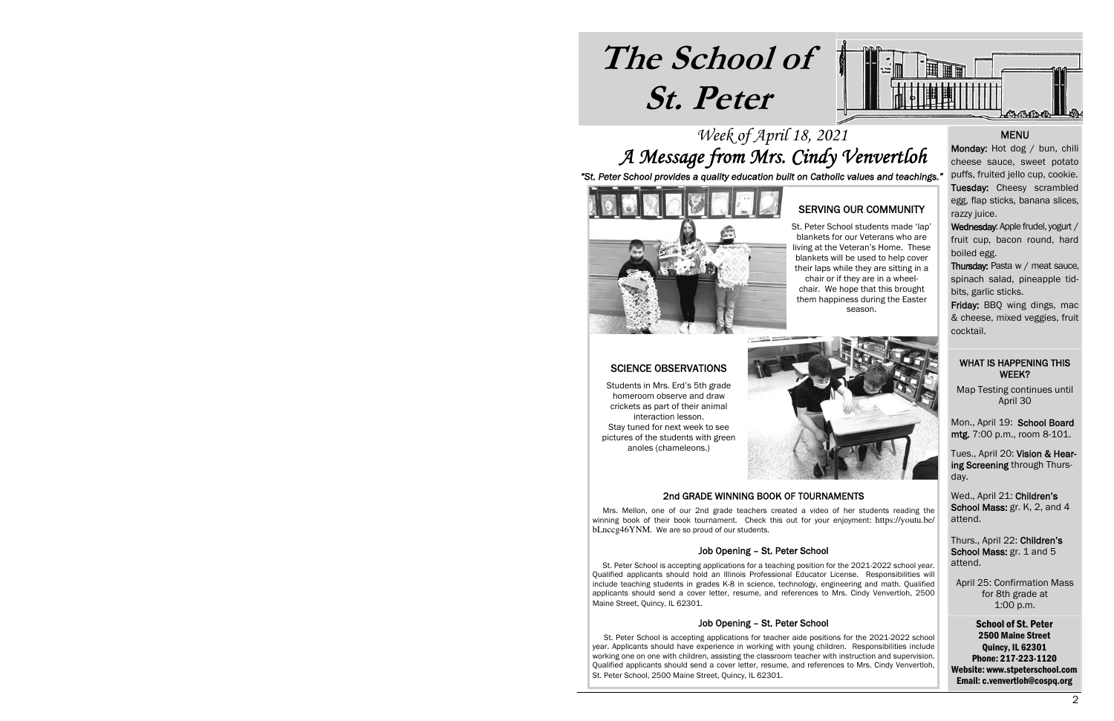# **The School of St. Peter**



# Week of April 18, 2021 A Message from Mrs. Cindy Venvertloh

*"St. Peter School provides a quality education built on Catholic values and teachings."*



## SERVING OUR COMMUNITY

St. Peter School students made 'lap' blankets for our Veterans who are living at the Veteran's Home. These blankets will be used to help cover their laps while they are sitting in a chair or if they are in a wheelchair. We hope that this brought them happiness during the Easter season.

## SCIENCE OBSERVATIONS

Students in Mrs. Erd's 5th grade homeroom observe and draw crickets as part of their animal interaction lesson. Stay tuned for next week to see pictures of the students with green anoles (chameleons.)



## 2nd GRADE WINNING BOOK OF TOURNAMENTS

 Mrs. Mellon, one of our 2nd grade teachers created a video of her students reading the winning book of their book tournament. Check this out for your enjoyment: https://youtu.be/ bLnccg46YNM. We are so proud of our students.

## Job Opening – St. Peter School

 St. Peter School is accepting applications for a teaching position for the 2021-2022 school year. Qualified applicants should hold an Illinois Professional Educator License. Responsibilities will include teaching students in grades K-8 in science, technology, engineering and math. Qualified applicants should send a cover letter, resume, and references to Mrs. Cindy Venvertloh, 2500 Maine Street, Quincy, IL 62301.

## Job Opening – St. Peter School

 St. Peter School is accepting applications for teacher aide positions for the 2021-2022 school year. Applicants should have experience in working with young children. Responsibilities include working one on one with children, assisting the classroom teacher with instruction and supervision. Qualified applicants should send a cover letter, resume, and references to Mrs. Cindy Venvertloh, St. Peter School, 2500 Maine Street, Quincy, IL 62301.

## **MENU**

Monday: Hot dog / bun, chili cheese sauce, sweet potato puffs, fruited jello cup, cookie. Tuesday: Cheesy scrambled egg, flap sticks, banana slices, razzy juice.

Wednesday: Apple frudel, yogurt / fruit cup, bacon round, hard boiled egg.

Thursday: Pasta w / meat sauce, spinach salad, pineapple tidbits, garlic sticks.

Friday: BBQ wing dings, mac & cheese, mixed veggies, fruit cocktail.

## WHAT IS HAPPENING THIS WEEK?

Map Testing continues until April 30

Mon., April 19: School Board mtg. 7:00 p.m., room 8-101.

Tues., April 20: Vision & Hearing Screening through Thursday.

Wed., April 21: Children's School Mass: gr. K, 2, and 4 attend.

Thurs., April 22: Children's School Mass: gr. 1 and 5 attend.

April 25: Confirmation Mass for 8th grade at 1:00 p.m.

School of St. Peter 2500 Maine Street Quincy, IL 62301 Phone: 217-223-1120 Website: www.stpeterschool.com Email: c.venvertloh@cospq.org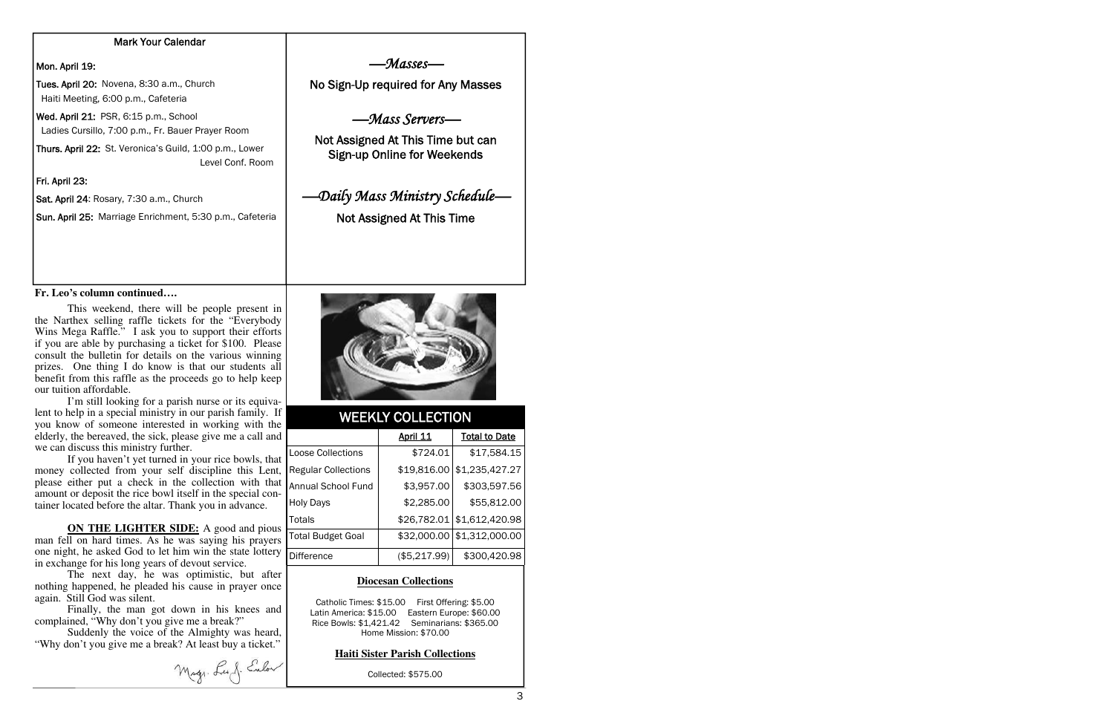## Mark Your Calendar

## Mon. April 19:

Tues. April 20: Novena, 8:30 a.m., Church Haiti Meeting, 6:00 p.m., Cafeteria

Wed. April 21: PSR, 6:15 p.m., School Ladies Cursillo, 7:00 p.m., Fr. Bauer Prayer Room

Thurs. April 22: St. Veronica's Guild, 1:00 p.m., Lower Level Conf. Room

Fri. April 23:

Sat. April 24: Rosary, 7:30 a.m., Church

Sun. April 25: Marriage Enrichment, 5:30 p.m., Cafeteria

#### **Fr. Leo's column continued….**

 This weekend, there will be people present in the Narthex selling raffle tickets for the "Everybody Wins Mega Raffle." I ask you to support their efforts if you are able by purchasing a ticket for \$100. Please consult the bulletin for details on the various winning prizes. One thing I do know is that our students all benefit from this raffle as the proceeds go to help keep our tuition affordable.

 I'm still looking for a parish nurse or its equivalent to help in a special ministry in our parish family. If you know of someone interested in working with the elderly, the bereaved, the sick, please give me a call and we can discuss this ministry further.

 If you haven't yet turned in your rice bowls, that money collected from your self discipline this Lent, please either put a check in the collection with that amount or deposit the rice bowl itself in the special container located before the altar. Thank you in advance.

**ON THE LIGHTER SIDE:** A good and pious man fell on hard times. As he was saying his prayers one night, he asked God to let him win the state lottery in exchange for his long years of devout service.

 The next day, he was optimistic, but after nothing happened, he pleaded his cause in prayer once again. Still God was silent.

 Finally, the man got down in his knees and complained, "Why don't you give me a break?"

 Suddenly the voice of the Almighty was heard, "Why don't you give me a break? At least buy a ticket."

Mag. La J. Enlow

—Masses—

No Sign-Up required for Any Masses

## —Mass Servers—

Not Assigned At This Time but can Sign-up Online for Weekends

# —Daily Mass Ministry Schedule—

Not Assigned At This Time



## WEEKLY COLLECTION

|                            | <b>April 11</b> | <b>Total to Date</b> |
|----------------------------|-----------------|----------------------|
| Loose Collections          | \$724.01        | \$17,584.15          |
| <b>Regular Collections</b> | \$19,816.00     | \$1,235,427.27       |
| <b>Annual School Fund</b>  | \$3,957.00      | \$303,597.56         |
| <b>Holy Days</b>           | \$2,285.00      | \$55,812.00          |
| Totals                     | \$26,782.01     | \$1,612,420.98       |
| <b>Total Budget Goal</b>   | \$32,000.00     | \$1,312,000.00       |
| <b>Difference</b>          | (\$5,217.99)    | \$300,420.98         |

## **Diocesan Collections**

Catholic Times: \$15.00 First Offering: \$5.00 Latin America: \$15.00 Eastern Europe: \$60.00 Rice Bowls: \$1,421.42 Seminarians: \$365.00 Home Mission: \$70.00

### **Haiti Sister Parish Collections**

Collected: \$575.00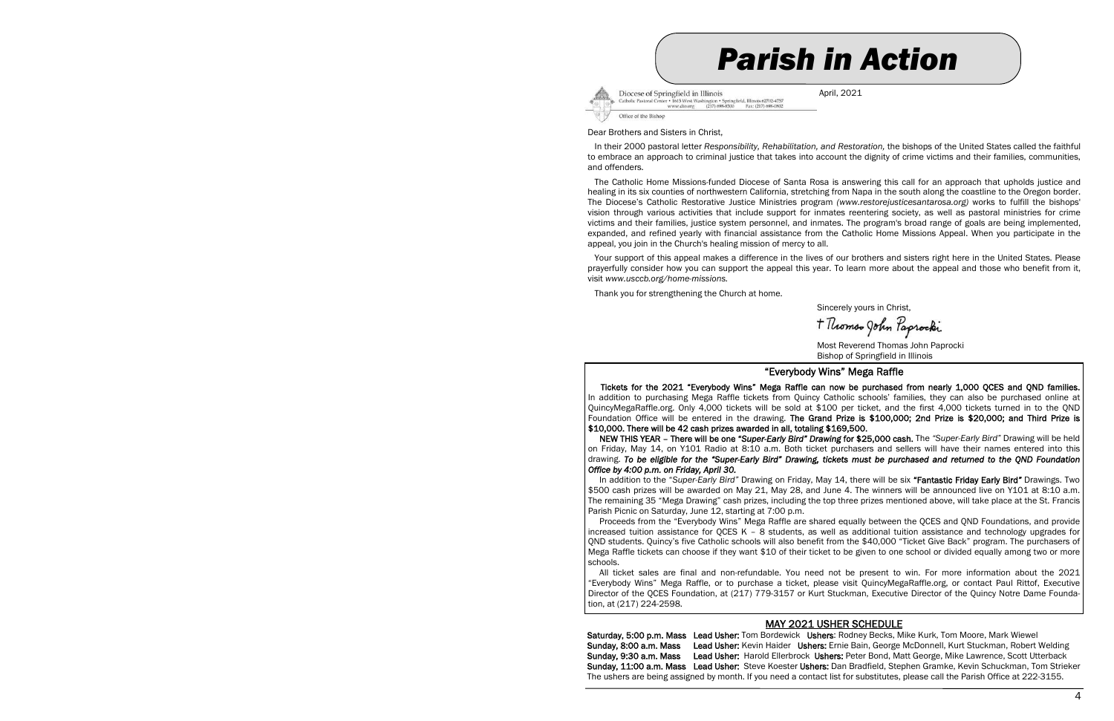



Diocese of Springfield in Illinois Catholic Pastoral Center • 1615 West Washington • Springfield, Illin<br>www.dio.org (217) 698-8500 Fax: is 62702-4757 Fax: (217) 698-0802

April, 2021

#### Dear Brothers and Sisters in Christ,

 In their 2000 pastoral letter *Responsibility, Rehabilitation, and Restoration,* the bishops of the United States called the faithful to embrace an approach to criminal justice that takes into account the dignity of crime victims and their families, communities, and offenders.

 The Catholic Home Missions-funded Diocese of Santa Rosa is answering this call for an approach that upholds justice and healing in its six counties of northwestern California, stretching from Napa in the south along the coastline to the Oregon border. The Diocese's Catholic Restorative Justice Ministries program *(www.restorejusticesantarosa.org)* works to fulfill the bishops' vision through various activities that include support for inmates reentering society, as well as pastoral ministries for crime victims and their families, justice system personnel, and inmates. The program's broad range of goals are being implemented, expanded, and refined yearly with financial assistance from the Catholic Home Missions Appeal. When you participate in the appeal, you join in the Church's healing mission of mercy to all.

 Your support of this appeal makes a difference in the lives of our brothers and sisters right here in the United States. Please prayerfully consider how you can support the appeal this year. To learn more about the appeal and those who benefit from it, visit *www.usccb.org/home-missions.* 

Thank you for strengthening the Church at home.

Sincerely yours in Christ,

+ Thomso John Paprocki

 Most Reverend Thomas John Paprocki Bishop of Springfield in Illinois

#### "Everybody Wins" Mega Raffle

 Tickets for the 2021 "Everybody Wins" Mega Raffle can now be purchased from nearly 1,000 QCES and QND families. In addition to purchasing Mega Raffle tickets from Quincy Catholic schools' families, they can also be purchased online at QuincyMegaRaffle.org. Only 4,000 tickets will be sold at \$100 per ticket, and the first 4,000 tickets turned in to the QND Foundation Office will be entered in the drawing. The Grand Prize is \$100,000; 2nd Prize is \$20,000; and Third Prize is \$10,000. There will be 42 cash prizes awarded in all, totaling \$169,500.

 NEW THIS YEAR – There will be one "*Super-Early Bird" Drawing* for \$25,000 cash. The *"Super-Early Bird"* Drawing will be held on Friday, May 14, on Y101 Radio at 8:10 a.m. Both ticket purchasers and sellers will have their names entered into this drawing. *To be eligible for the "Super-Early Bird" Drawing, tickets must be purchased and returned to the QND Foundation Office by 4:00 p.m. on Friday, April 30.* 

 In addition to the "*Super-Early Bird"* Drawing on Friday, May 14, there will be six "Fantastic Friday Early Bird*"* Drawings. Two \$500 cash prizes will be awarded on May 21, May 28, and June 4. The winners will be announced live on Y101 at 8:10 a.m. The remaining 35 "Mega Drawing" cash prizes, including the top three prizes mentioned above, will take place at the St. Francis Parish Picnic on Saturday, June 12, starting at 7:00 p.m.

 Proceeds from the "Everybody Wins" Mega Raffle are shared equally between the QCES and QND Foundations, and provide increased tuition assistance for QCES K – 8 students, as well as additional tuition assistance and technology upgrades for QND students. Quincy's five Catholic schools will also benefit from the \$40,000 "Ticket Give Back" program. The purchasers of Mega Raffle tickets can choose if they want \$10 of their ticket to be given to one school or divided equally among two or more schools.

 All ticket sales are final and non-refundable. You need not be present to win. For more information about the 2021 "Everybody Wins" Mega Raffle, or to purchase a ticket, please visit QuincyMegaRaffle.org, or contact Paul Rittof, Executive Director of the QCES Foundation, at (217) 779-3157 or Kurt Stuckman, Executive Director of the Quincy Notre Dame Foundation, at (217) 224-2598.

## MAY 2021 USHER SCHEDULE

Saturday, 5:00 p.m. Mass Lead Usher: Tom Bordewick Ushers: Rodney Becks, Mike Kurk, Tom Moore, Mark Wiewel Sunday, 8:00 a.m. Mass Lead Usher: Kevin Haider Ushers: Ernie Bain, George McDonnell, Kurt Stuckman, Robert Welding Sunday, 9:30 a.m. Mass Lead Usher: Harold Ellerbrock Ushers: Peter Bond, Matt George, Mike Lawrence, Scott Utterback Sunday, 11:00 a.m. Mass Lead Usher: Steve Koester Ushers: Dan Bradfield, Stephen Gramke, Kevin Schuckman, Tom Strieker The ushers are being assigned by month. If you need a contact list for substitutes, please call the Parish Office at 222-3155.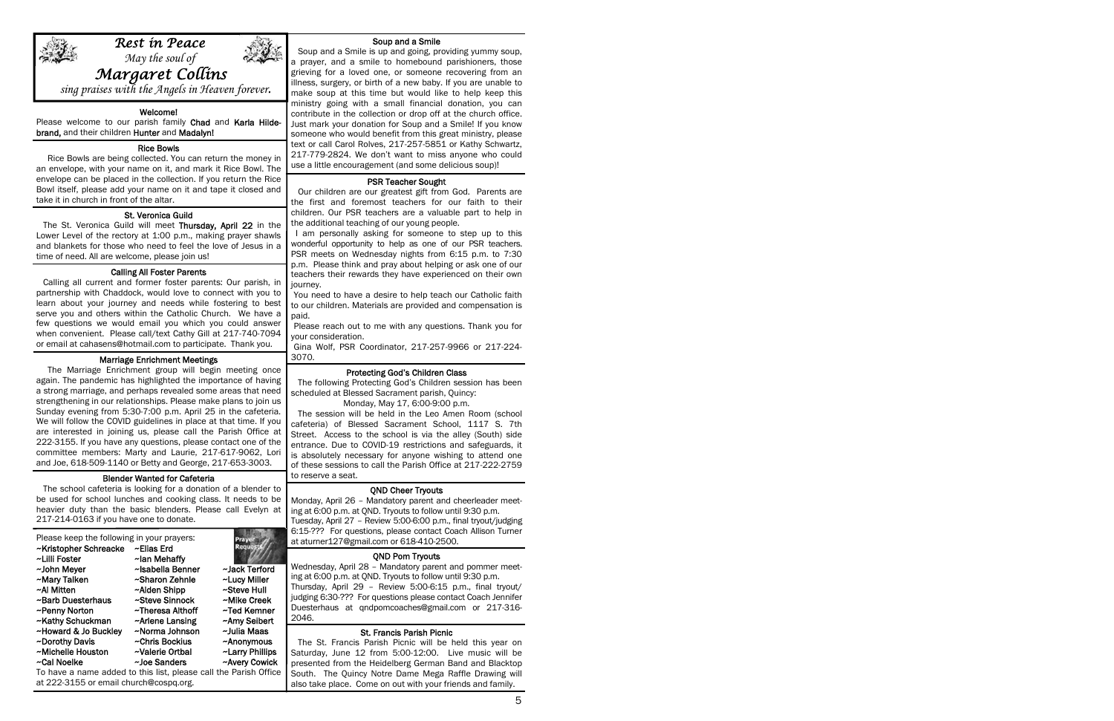

 May the soul of *Margaret Collins* 

*Rest in Peace* 

sing praises with the Angels in Heaven forever.

#### Welcome!

Please welcome to our parish family Chad and Karla Hildebrand, and their children Hunter and Madalyn!

֬֕֓

#### Rice Bowls

 Rice Bowls are being collected. You can return the money in an envelope, with your name on it, and mark it Rice Bowl. The envelope can be placed in the collection. If you return the Rice Bowl itself, please add your name on it and tape it closed and take it in church in front of the altar.

### St. Veronica Guild

 The St. Veronica Guild will meet Thursday, April 22 in the Lower Level of the rectory at 1:00 p.m., making prayer shawls and blankets for those who need to feel the love of Jesus in a time of need. All are welcome, please join us!

#### Calling All Foster Parents

 Calling all current and former foster parents: Our parish, in partnership with Chaddock, would love to connect with you to learn about your journey and needs while fostering to best serve you and others within the Catholic Church. We have a few questions we would email you which you could answer when convenient. Please call/text Cathy Gill at 217-740-7094 or email at cahasens@hotmail.com to participate. Thank you.

#### Marriage Enrichment Meetings

 The Marriage Enrichment group will begin meeting once again. The pandemic has highlighted the importance of having a strong marriage, and perhaps revealed some areas that need strengthening in our relationships. Please make plans to join us Sunday evening from 5:30-7:00 p.m. April 25 in the cafeteria. We will follow the COVID guidelines in place at that time. If you are interested in joining us, please call the Parish Office at 222-3155. If you have any questions, please contact one of the committee members: Marty and Laurie, 217-617-9062, Lori and Joe, 618-509-1140 or Betty and George, 217-653-3003.

#### Blender Wanted for Cafeteria

 The school cafeteria is looking for a donation of a blender to be used for school lunches and cooking class. It needs to be heavier duty than the basic blenders. Please call Evelyn at 217-214-0163 if you have one to donate.

| Please keep the following in your prayers:                       |                  |                 |
|------------------------------------------------------------------|------------------|-----------------|
| ~Kristopher Schreacke                                            | ~Elias Erd       | Regue           |
| ~Lilli Foster                                                    | ~lan Mehaffy     |                 |
| ~John Meyer                                                      | ~Isabella Benner | ~Jack Terford   |
| ~Mary Talken                                                     | ~Sharon Zehnle   | ~Lucy Miller    |
| ~Al Mitten                                                       | ~Alden Shipp     | ~Steve Hull     |
| ~Barb Duesterhaus                                                | ~Steve Sinnock   | ~Mike Creek     |
| ~Penny Norton                                                    | ~Theresa Althoff | ~Ted Kemner     |
| ~Kathy Schuckman                                                 | ~Arlene Lansing  | ~Amy Seibert    |
| ~Howard & Jo Buckley                                             | ~Norma Johnson   | ~Julia Maas     |
| ~Dorothy Davis                                                   | ~Chris Bockius   | ~Anonymous      |
| ~Michelle Houston                                                | ~Valerie Ortbal  | ~Larry Phillips |
| ~Cal Noelke                                                      | ~Joe Sanders     | ~Avery Cowick   |
| To have a name added to this list, please call the Parish Office |                  |                 |

at 222-3155 or email church@cospq.org.

#### Soup and a Smile

 Soup and a Smile is up and going, providing yummy soup, a prayer, and a smile to homebound parishioners, those grieving for a loved one, or someone recovering from an illness, surgery, or birth of a new baby. If you are unable to make soup at this time but would like to help keep this ministry going with a small financial donation, you can contribute in the collection or drop off at the church office. Just mark your donation for Soup and a Smile! If you know someone who would benefit from this great ministry, please text or call Carol Rolves, 217-257-5851 or Kathy Schwartz, 217-779-2824. We don't want to miss anyone who could use a little encouragement (and some delicious soup)!

### PSR Teacher Sought

 Our children are our greatest gift from God. Parents are the first and foremost teachers for our faith to their children. Our PSR teachers are a valuable part to help in the additional teaching of our young people.

 I am personally asking for someone to step up to this wonderful opportunity to help as one of our PSR teachers. PSR meets on Wednesday nights from 6:15 p.m. to 7:30 p.m. Please think and pray about helping or ask one of our teachers their rewards they have experienced on their own journey.

 You need to have a desire to help teach our Catholic faith to our children. Materials are provided and compensation is paid.

 Please reach out to me with any questions. Thank you for your consideration.

 Gina Wolf, PSR Coordinator, 217-257-9966 or 217-224- 3070.

#### Protecting God's Children Class

 The following Protecting God's Children session has been scheduled at Blessed Sacrament parish, Quincy:

#### Monday, May 17, 6:00-9:00 p.m.

 The session will be held in the Leo Amen Room (school cafeteria) of Blessed Sacrament School, 1117 S. 7th Street. Access to the school is via the alley (South) side entrance. Due to COVID-19 restrictions and safeguards, it is absolutely necessary for anyone wishing to attend one of these sessions to call the Parish Office at 217-222-2759 to reserve a seat.

#### QND Cheer Tryouts

Monday, April 26 – Mandatory parent and cheerleader meeting at 6:00 p.m. at QND. Tryouts to follow until 9:30 p.m. Tuesday, April 27 – Review 5:00-6:00 p.m., final tryout/judging 6:15-??? For questions, please contact Coach Allison Turner at aturner127@gmail.com or 618-410-2500.

#### QND Pom Tryouts

Wednesday, April 28 – Mandatory parent and pommer meeting at 6:00 p.m. at QND. Tryouts to follow until 9:30 p.m. Thursday, April 29 – Review 5:00-6:15 p.m., final tryout/ judging 6:30-??? For questions please contact Coach Jennifer Duesterhaus at qndpomcoaches@gmail.com or 217-316- 2046.

#### St. Francis Parish Picnic

 The St. Francis Parish Picnic will be held this year on Saturday, June 12 from 5:00-12:00. Live music will be presented from the Heidelberg German Band and Blacktop South. The Quincy Notre Dame Mega Raffle Drawing will also take place. Come on out with your friends and family.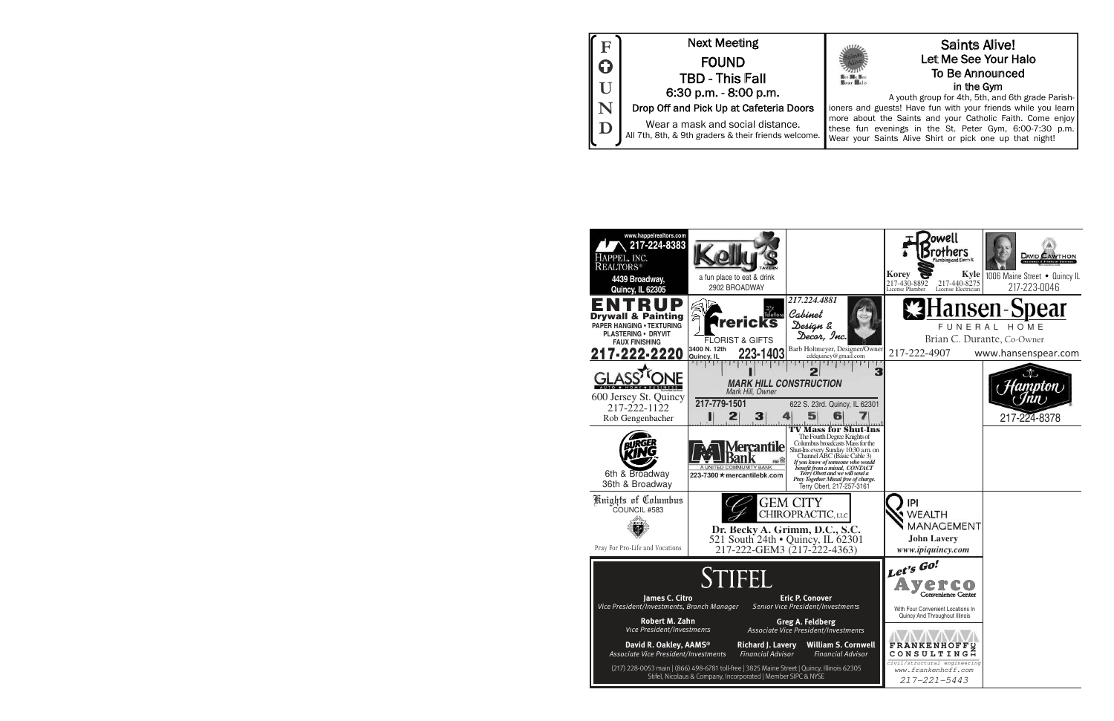